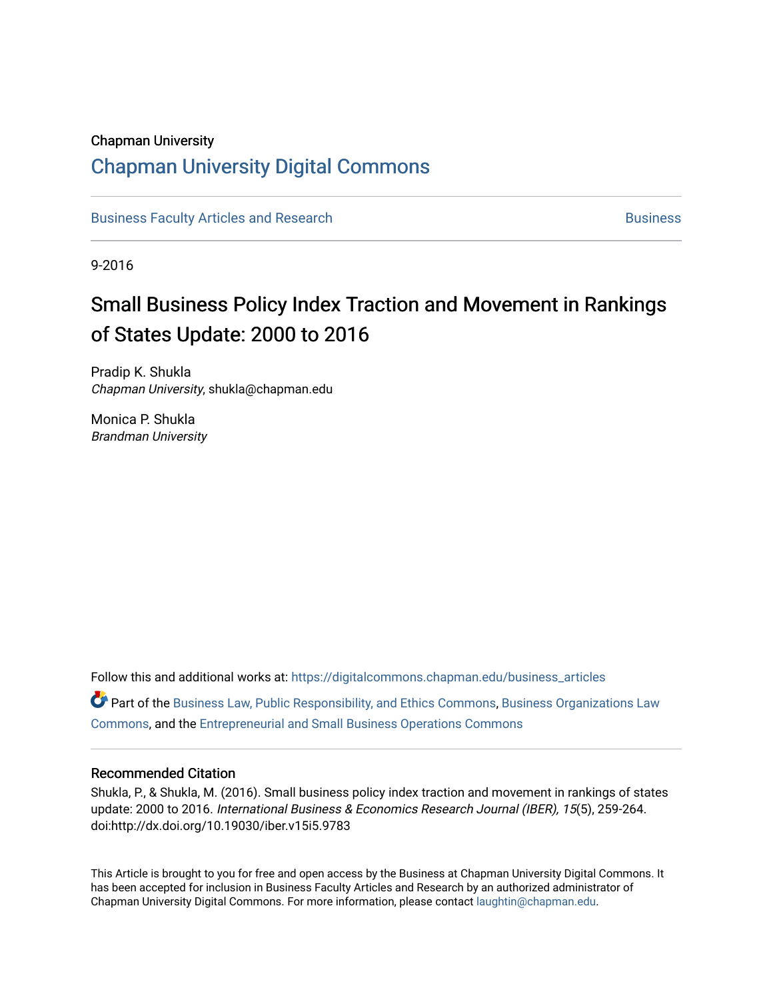# Chapman University

# [Chapman University Digital Commons](https://digitalcommons.chapman.edu/)

[Business Faculty Articles and Research](https://digitalcommons.chapman.edu/business_articles) [Business](https://digitalcommons.chapman.edu/business) **Business** Business

9-2016

# Small Business Policy Index Traction and Movement in Rankings of States Update: 2000 to 2016

Pradip K. Shukla Chapman University, shukla@chapman.edu

Monica P. Shukla Brandman University

Follow this and additional works at: [https://digitalcommons.chapman.edu/business\\_articles](https://digitalcommons.chapman.edu/business_articles?utm_source=digitalcommons.chapman.edu%2Fbusiness_articles%2F53&utm_medium=PDF&utm_campaign=PDFCoverPages)   $\bullet$  Part of the [Business Law, Public Responsibility, and Ethics Commons](http://network.bepress.com/hgg/discipline/628?utm_source=digitalcommons.chapman.edu%2Fbusiness_articles%2F53&utm_medium=PDF&utm_campaign=PDFCoverPages), Business Organizations Law [Commons](http://network.bepress.com/hgg/discipline/900?utm_source=digitalcommons.chapman.edu%2Fbusiness_articles%2F53&utm_medium=PDF&utm_campaign=PDFCoverPages), and the [Entrepreneurial and Small Business Operations Commons](http://network.bepress.com/hgg/discipline/630?utm_source=digitalcommons.chapman.edu%2Fbusiness_articles%2F53&utm_medium=PDF&utm_campaign=PDFCoverPages)

#### Recommended Citation

Shukla, P., & Shukla, M. (2016). Small business policy index traction and movement in rankings of states update: 2000 to 2016. International Business & Economics Research Journal (IBER), 15(5), 259-264. doi:http://dx.doi.org/10.19030/iber.v15i5.9783

This Article is brought to you for free and open access by the Business at Chapman University Digital Commons. It has been accepted for inclusion in Business Faculty Articles and Research by an authorized administrator of Chapman University Digital Commons. For more information, please contact [laughtin@chapman.edu](mailto:laughtin@chapman.edu).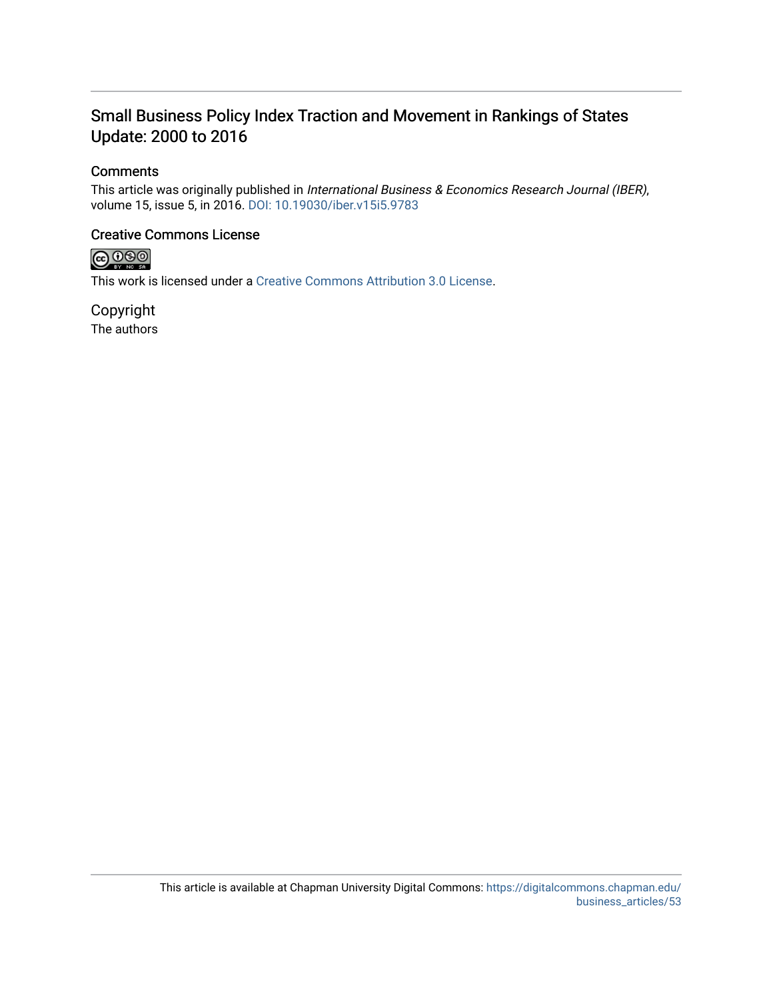# Small Business Policy Index Traction and Movement in Rankings of States Update: 2000 to 2016

## **Comments**

This article was originally published in International Business & Economics Research Journal (IBER), volume 15, issue 5, in 2016. [DOI: 10.19030/iber.v15i5.9783](http://dx.doi.org/10.19030/iber.v15i5.9783) 

## Creative Commons License



This work is licensed under a [Creative Commons Attribution 3.0 License](https://creativecommons.org/licenses/by/3.0/).

Copyright The authors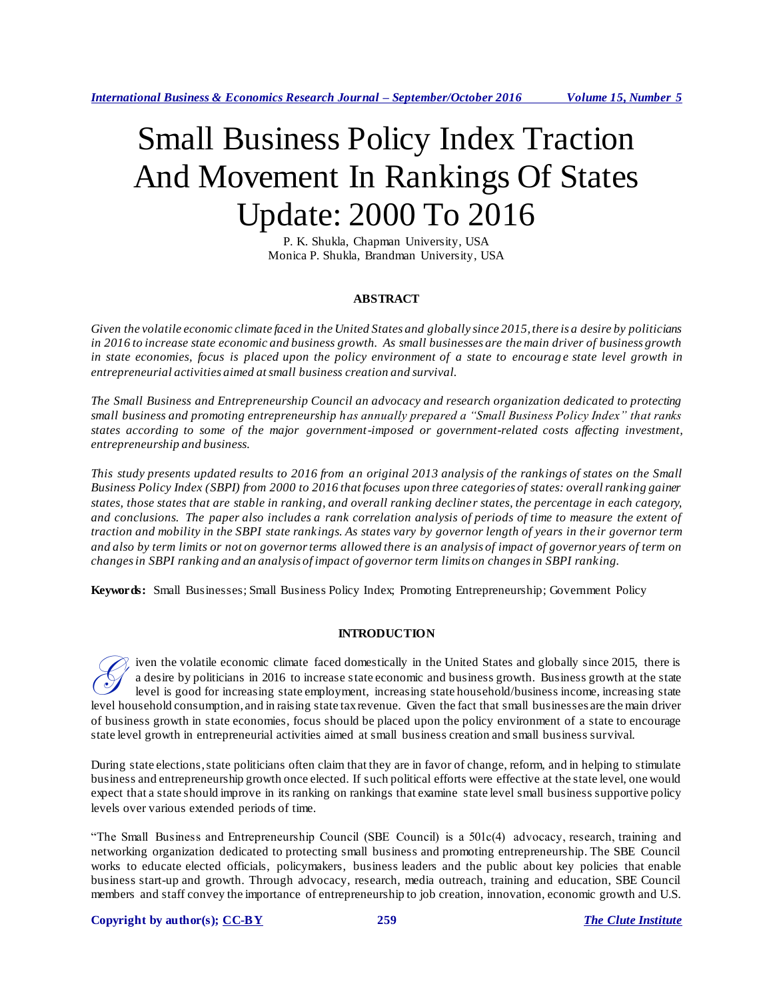*International Business & Economics Research Journal – September/October 2016 Volume 15, Number 5*

# Small Business Policy Index Traction And Movement In Rankings Of States Update: 2000 To 2016

P. K. Shukla, Chapman University, USA Monica P. Shukla, Brandman University, USA

#### **ABSTRACT**

*Given the volatile economic climate faced in the United States and globally since 2015, there is a desire by politicians in 2016 to increase state economic and business growth. As small businesses are the main driver of business growth in state economies, focus is placed upon the policy environment of a state to encourage state level growth in entrepreneurial activities aimed at small business creation and survival.*

*The Small Business and Entrepreneurship Council an advocacy and research organization dedicated to protecting small business and promoting entrepreneurship has annually prepared a "Small Business Policy Index" that ranks states according to some of the major government-imposed or government-related costs affecting investment, entrepreneurship and business.* 

*This study presents updated results to 2016 from an original 2013 analysis of the rankings of states on the Small Business Policy Index (SBPI) from 2000 to 2016 that focuses upon three categories of states: overall ranking gainer states, those states that are stable in ranking, and overall ranking decliner states, the percentage in each category, and conclusions. The paper also includes a rank correlation analysis of periods of time to measure the extent of traction and mobility in the SBPI state rankings. As states vary by governor length of years in the ir governor term and also by term limits or not on governor terms allowed there is an analysis of impact of governor years of term on changes in SBPI ranking and an analysis of impact of governor term limits on changes in SBPI ranking.*

**Keywords:** Small Businesses; Small Business Policy Index; Promoting Entrepreneurship; Government Policy

#### **INTRODUCTION**

iven the volatile economic climate faced domestically in the United States and globally since 2015, there is a desire by politicians in 2016 to increase state economic and business growth. Business growth at the state level is good for increasing state employment, increasing state household/business income, increasing state level household consumption, and in raising state tax revenue. Given the fact that small businesses are the main driver of business growth in state economies, focus should be placed upon the policy environment of a state to encourage state level growth in entrepreneurial activities aimed at small business creation and small business survival. G

During state elections, state politicians often claim that they are in favor of change, reform, and in helping to stimulate business and entrepreneurship growth once elected. If such political efforts were effective at the state level, one would expect that a state should improve in its ranking on rankings that examine state level small business supportive policy levels over various extended periods of time.

"The Small Business and Entrepreneurship Council (SBE Council) is a 501c(4) advocacy, research, training and networking organization dedicated to protecting small business and promoting entrepreneurship. The SBE Council works to educate elected officials, policymakers, business leaders and the public about key policies that enable business start-up and growth. Through advocacy, research, media outreach, training and education, SBE Council members and staff convey the importance of entrepreneurship to job creation, innovation, economic growth and U.S.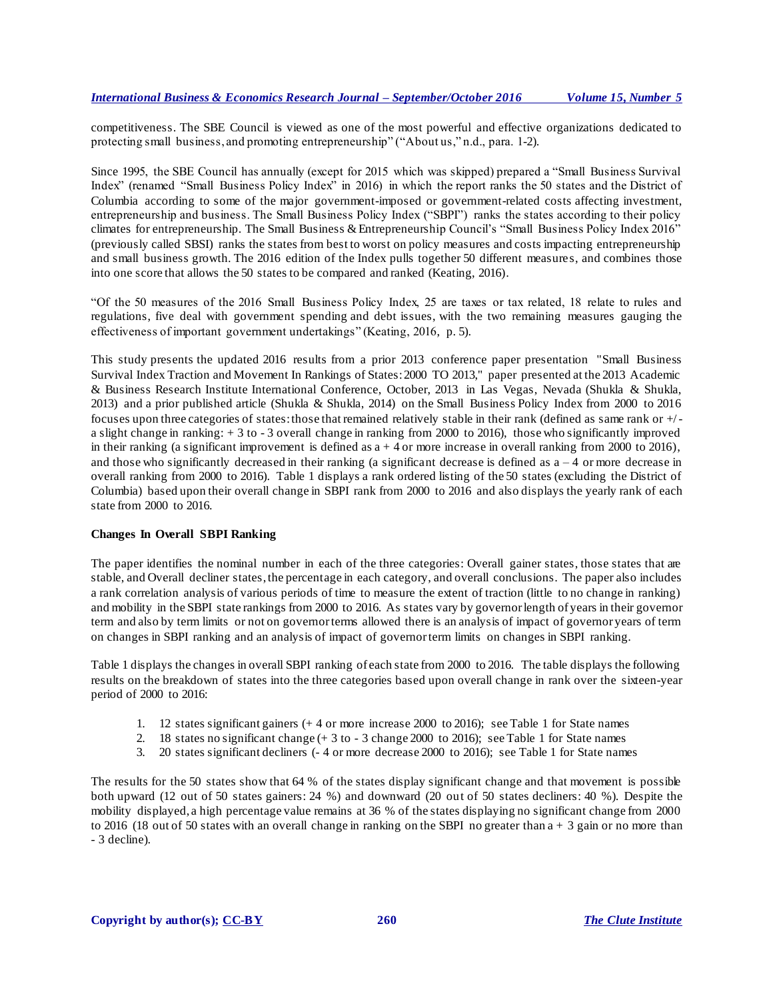competitiveness. The SBE Council is viewed as one of the most powerful and effective organizations dedicated to protecting small business, and promoting entrepreneurship" ("About us," n.d., para. 1-2).

Since 1995, the SBE Council has annually (except for 2015 which was skipped) prepared a "Small Business Survival Index" (renamed "Small Business Policy Index" in 2016) in which the report ranks the 50 states and the District of Columbia according to some of the major government-imposed or government-related costs affecting investment, entrepreneurship and business. The Small Business Policy Index ("SBPI") ranks the states according to their policy climates for entrepreneurship. The Small Business & Entrepreneurship Council's "Small Business Policy Index 2016" (previously called SBSI) ranks the states from best to worst on policy measures and costs impacting entrepreneurship and small business growth. The 2016 edition of the Index pulls together 50 different measure s, and combines those into one score that allows the 50 states to be compared and ranked (Keating, 2016).

"Of the 50 measures of the 2016 Small Business Policy Index, 25 are taxes or tax related, 18 relate to rules and regulations, five deal with government spending and debt issues, with the two remaining measures gauging the effectiveness of important government undertakings" (Keating, 2016, p. 5).

This study presents the updated 2016 results from a prior 2013 conference paper presentation "Small Business Survival Index Traction and Movement In Rankings of States: 2000 TO 2013," paper presented at the 2013 Academic & Business Research Institute International Conference, October, 2013 in Las Vegas, Nevada (Shukla & Shukla, 2013) and a prior published article (Shukla & Shukla, 2014) on the Small Business Policy Index from 2000 to 2016 focuses upon three categories of states: those that remained relatively stable in their rank (defined as same rank or +/ a slight change in ranking: + 3 to - 3 overall change in ranking from 2000 to 2016), those who significantly improved in their ranking (a significant improvement is defined as  $a + 4$  or more increase in overall ranking from 2000 to 2016), and those who significantly decreased in their ranking (a significant decrease is defined as  $a - 4$  or more decrease in overall ranking from 2000 to 2016). Table 1 displays a rank ordered listing of the 50 states (excluding the District of Columbia) based upon their overall change in SBPI rank from 2000 to 2016 and also displays the yearly rank of each state from 2000 to 2016.

#### **Changes In Overall SBPI Ranking**

The paper identifies the nominal number in each of the three categories: Overall gainer states, those states that are stable, and Overall decliner states, the percentage in each category, and overall conclusions. The paper also includes a rank correlation analysis of various periods of time to measure the extent of traction (little to no change in ranking) and mobility in the SBPI state rankings from 2000 to 2016. As states vary by governor length of years in their governor term and also by term limits or not on governor terms allowed there is an analysis of impact of governor years of term on changes in SBPI ranking and an analysis of impact of governor term limits on changes in SBPI ranking.

Table 1 displays the changes in overall SBPI ranking of each state from 2000 to 2016. The table displays the following results on the breakdown of states into the three categories based upon overall change in rank over the sixteen-year period of 2000 to 2016:

- 1. 12 states significant gainers (+ 4 or more increase 2000 to 2016); see Table 1 for State names
- 2. 18 states no significant change (+ 3 to 3 change 2000 to 2016); see Table 1 for State names
- 3. 20 states significant decliners (- 4 or more decrease 2000 to 2016); see Table 1 for State names

The results for the 50 states show that 64 % of the states display significant change and that movement is possible both upward (12 out of 50 states gainers: 24 %) and downward (20 out of 50 states decliners: 40 %). Despite the mobility displayed, a high percentage value remains at 36 % of the states displaying no significant change from 2000 to 2016 (18 out of 50 states with an overall change in ranking on the SBPI no greater than a + 3 gain or no more than - 3 decline).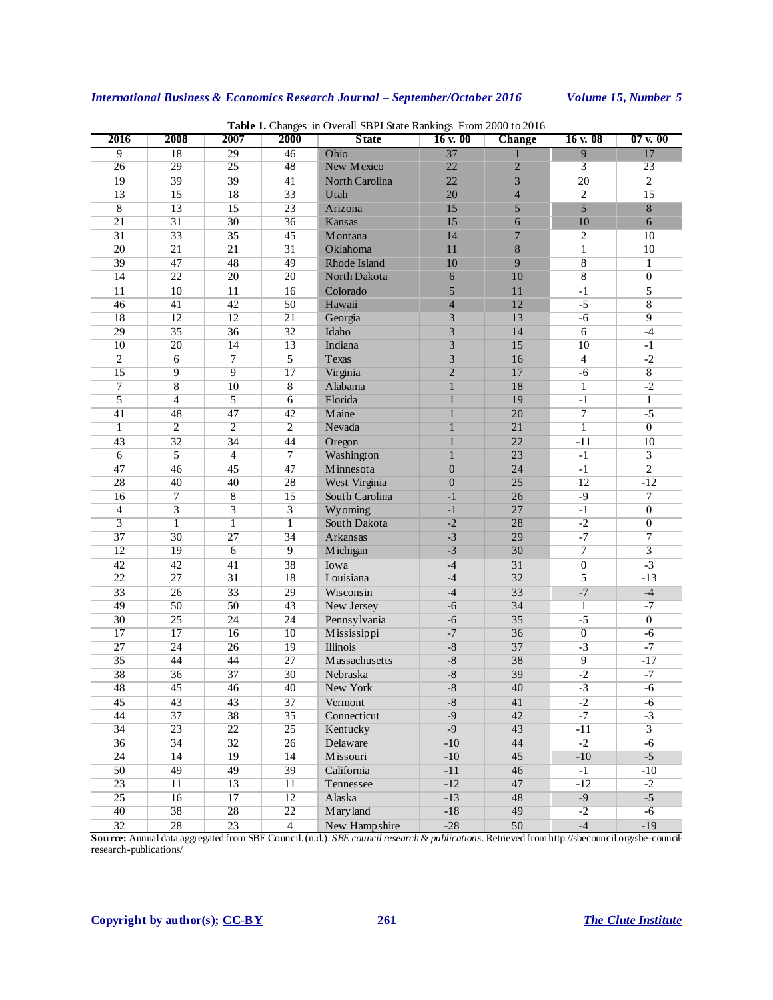| 2016            | 2008            | 2007                    | 2000            | <b>Table 1.</b> Changes in Overall SDT I State Rainkings 110m 2000 to 2010<br><b>State</b> | 16 v. 00         | Change          | 16v.08             | $07$ v. $00$     |
|-----------------|-----------------|-------------------------|-----------------|--------------------------------------------------------------------------------------------|------------------|-----------------|--------------------|------------------|
| 9               | 18              | 29                      | 46              | Ohio                                                                                       | 37               |                 | 9                  | 17               |
| $\overline{26}$ | 29              | $\overline{25}$         | 48              | New Mexico                                                                                 | 22               | $\overline{2}$  | 3                  | 23               |
| 19              | $\overline{39}$ | $\overline{39}$         | 41              | North Carolina                                                                             | 22               | 3               | $\overline{20}$    | $\overline{2}$   |
| $\overline{13}$ | $\overline{15}$ | 18                      | $\overline{33}$ | Utah                                                                                       | 20               | $\overline{4}$  | $\overline{2}$     | $\overline{15}$  |
| $\overline{8}$  | 13              | 15                      | 23              | Arizona                                                                                    | 15               | 5               | 5                  | $\,8$            |
| $\overline{21}$ | $\overline{31}$ | $\overline{30}$         | 36              | Kansas                                                                                     | 15               | 6               | 10                 | 6                |
| $\overline{31}$ | 33              | $\overline{35}$         | 45              | Montana                                                                                    | 14               | 7               | $\overline{c}$     | 10               |
| $\overline{20}$ | 21              | 21                      | 31              | Oklahoma                                                                                   | 11               | $\,$ 8 $\,$     | $\mathbf{1}$       | 10               |
| 39              | 47              | 48                      | 49              | Rhode Island                                                                               | 10               | 9               | $\overline{\bf 8}$ | $\mathbf{1}$     |
| 14              | $\overline{22}$ | $\overline{20}$         | 20              | North Dakota                                                                               | 6                | 10              | $\overline{8}$     | $\boldsymbol{0}$ |
| 11              | 10              | 11                      | 16              | Colorado                                                                                   | 5                | 11              | $-1$               | 5                |
| 46              | 41              | 42                      | 50              | Hawaii                                                                                     | $\overline{4}$   | 12              | $-5$               | 8                |
| 18              | 12              | $\overline{12}$         | $\overline{21}$ | Georgia                                                                                    | $\mathfrak{Z}$   | 13              | $-6$               | $\overline{9}$   |
| 29              | 35              | 36                      | $\overline{32}$ | Idaho                                                                                      | $\overline{3}$   | 14              | $\sqrt{6}$         | $-4$             |
| $\overline{10}$ | $\overline{20}$ | 14                      | $\overline{13}$ | Indiana                                                                                    | $\overline{3}$   | 15              | $\overline{10}$    | $-1$             |
| $\overline{2}$  | $\sqrt{6}$      | $\overline{7}$          | 5               | Texas                                                                                      | $\mathfrak{Z}$   | 16              | $\overline{4}$     | $-2$             |
| $\overline{15}$ | 9               | $\overline{9}$          | 17              | Virginia                                                                                   | $\overline{2}$   | 17              | $-6$               | $\overline{8}$   |
| 7               | $\overline{8}$  | 10                      | 8               | Alabama                                                                                    | $\mathbf{1}$     | 18              | $\mathbf{1}$       | $-2$             |
| $\overline{5}$  | $\overline{4}$  | $\overline{5}$          | $\overline{6}$  | Florida                                                                                    | $\mathbf{1}$     | 19              | $-1$               | $\overline{1}$   |
| 41              | 48              | 47                      | 42              | Maine                                                                                      | $\mathbf{1}$     | 20              | $\overline{7}$     | $-5$             |
| $\overline{1}$  | $\overline{2}$  | $\overline{2}$          | $\overline{2}$  | Nevada                                                                                     | $\overline{1}$   | 21              | $\overline{1}$     | $\overline{0}$   |
| 43              | 32              | 34                      | 44              | Oregon                                                                                     | $\mathbf{1}$     | 22              | $-11$              | 10               |
| 6               | 5               | $\overline{4}$          | $\tau$          | Washington                                                                                 | $\mathbf{1}$     | 23              | $-1$               | 3                |
| 47              | 46              | 45                      | 47              | Minnesota                                                                                  | $\boldsymbol{0}$ | 24              | $-1$               | $\overline{2}$   |
| 28              | 40              | 40                      | 28              | West Virginia                                                                              | $\overline{0}$   | $\overline{25}$ | $\overline{12}$    | $-12$            |
| 16              | $\overline{7}$  | $\overline{\bf 8}$      | 15              | South Carolina                                                                             | $-1$             | 26              | $-9$               | $\overline{7}$   |
| $\overline{4}$  | 3               | $\overline{\mathbf{3}}$ | $\overline{3}$  | Wyoming                                                                                    | $-1$             | 27              | $-1$               | $\boldsymbol{0}$ |
| $\overline{3}$  | 1               | $\mathbf{1}$            | $\mathbf{1}$    | South Dakota                                                                               | $-2$             | 28              | $-2$               | $\overline{0}$   |
| 37              | 30              | 27                      | 34              | Arkansas                                                                                   | $-3$             | 29              | $-7$               | $\overline{7}$   |
| $\overline{12}$ | 19              | $\overline{6}$          | $\overline{9}$  | Michigan                                                                                   | $-3$             | $\overline{30}$ | 7                  | $\overline{3}$   |
| 42              | 42              | 41                      | 38              | Iowa                                                                                       | $-4$             | 31              | $\boldsymbol{0}$   | $-3$             |
| $\overline{22}$ | 27              | $\overline{31}$         | 18              | Louisiana                                                                                  | $-4$             | 32              | 5                  | $-13$            |
| $\overline{33}$ | 26              | 33                      | 29              | Wisconsin                                                                                  | $-4$             | 33              | $-7$               | $-4$             |
| 49              | $\overline{50}$ | $\overline{50}$         | 43              | New Jersey                                                                                 | $-6$             | 34              | 1                  | $-7$             |
| $\overline{30}$ | $\overline{25}$ | $\overline{24}$         | 24              | Pennsylvania                                                                               | $-6$             | 35              | $-5$               | $\overline{0}$   |
| $\overline{17}$ | $\overline{17}$ | 16                      | 10              | Mississippi                                                                                | $-7$             | 36              | $\overline{0}$     | $-6$             |
| $\overline{27}$ | 24              | 26                      | 19              | Illinois                                                                                   | $\text{-}8$      | 37              | $-3$               | $-7$             |
| $\overline{35}$ | 44              | 44                      | 27              | Massachusetts                                                                              | $-8$             | 38              | 9                  | $-17$            |
| $\overline{38}$ | 36              | 37                      | 30              | Nebraska                                                                                   | $\mbox{-}8$      | 39              | $-2$               | $-7$             |
| $\overline{48}$ | 45              | 46                      | 40              | New York                                                                                   | $-8$             | 40              | $-3$               | $-6$             |
| 45              | 43              | 43                      | 37              | Vermont                                                                                    | $-8$             | 41              | $-2$               | -6               |
| 44              | 37              | 38                      | 35              | Connecticut                                                                                | $-9$             | 42              | $-7$               | $-3$             |
| 34              | $\overline{23}$ | $\overline{22}$         | $\overline{25}$ | Kentucky                                                                                   | $-9$             | 43              | $-11$              | $\overline{3}$   |
| $\overline{36}$ | 34              | 32                      | 26              | Delaware                                                                                   | $-10$            | 44              | $-2$               | $-6$             |
| $\overline{24}$ | 14              | 19                      | $\overline{14}$ | Missouri                                                                                   | $-10$            | 45              | $-10$              | $-5$             |
| $\overline{50}$ | 49              | 49                      | 39              | California                                                                                 | $-11$            | 46              | $-1$               | $-10$            |
| $\overline{23}$ | $\overline{11}$ | 13                      | $\overline{11}$ | Tennessee                                                                                  | $-12$            | 47              | $-12$              | $-2$             |
| $\overline{25}$ | 16              | 17                      | 12              | Alaska                                                                                     | $-13$            | 48              | $-9$               | $-5$             |
| 40              | 38              | $\overline{28}$         | $\overline{22}$ | Maryland                                                                                   | $-18$            | 49              | $-2$               | -6               |
| $\overline{32}$ | $\overline{28}$ | 23                      | $\overline{4}$  | New Hampshire                                                                              | $-28$            | $50\,$          | $-4$               | $-19$            |

**Table 1.** Changes in Overall SBPI State Rankings From 2000 to 2016

**Source:** Annual data aggregated from SBE Council. (n.d.). *SBE council research & publications*. Retrieved from http://sbecouncil.org/sbe-councilresearch-publications/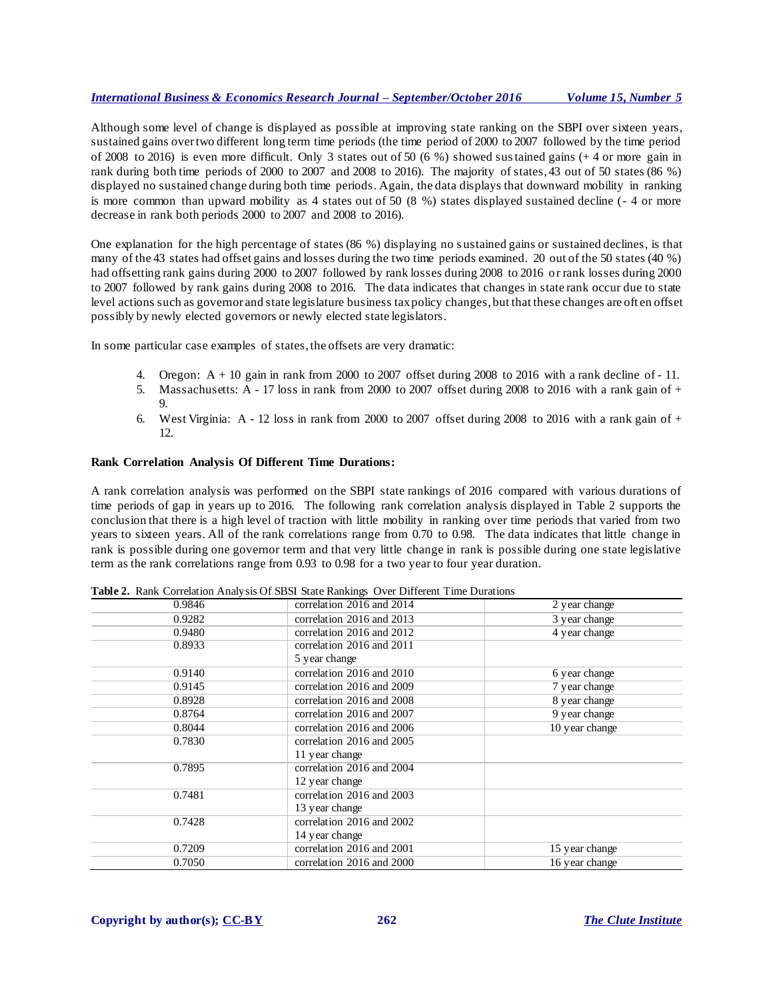#### *International Business & Economics Research Journal – September/October 2016 Volume 15, Number 5*

Although some level of change is displayed as possible at improving state ranking on the SBPI over sixteen years, sustained gains over two different long term time periods (the time period of 2000 to 2007 followed by the time period of 2008 to 2016) is even more difficult. Only 3 states out of 50 (6 %) showed sustained gains (+ 4 or more gain in rank during both time periods of 2000 to 2007 and 2008 to 2016). The majority of states, 43 out of 50 states (86 %) displayed no sustained change during both time periods. Again, the data displays that downward mobility in ranking is more common than upward mobility as 4 states out of 50 (8 %) states displayed sustained decline (- 4 or more decrease in rank both periods 2000 to 2007 and 2008 to 2016).

One explanation for the high percentage of states (86 %) displaying no s ustained gains or sustained declines, is that many of the 43 states had offset gains and losses during the two time periods examined. 20 out of the 50 states (40 %) had offsetting rank gains during 2000 to 2007 followed by rank losses during 2008 to 2016 or rank losses during 2000 to 2007 followed by rank gains during 2008 to 2016. The data indicates that changes in state rank occur due to state level actions such as governor and state legislature business tax policy changes, but that these changes are oft en offset possibly by newly elected governors or newly elected state legislators.

In some particular case examples of states, the offsets are very dramatic:

- 4. Oregon:  $A + 10$  gain in rank from 2000 to 2007 offset during 2008 to 2016 with a rank decline of 11.
- 5. Massachusetts:  $\overline{A}$  17 loss in rank from 2000 to 2007 offset during 2008 to 2016 with a rank gain of + 9.
- 6. West Virginia:  $A 12$  loss in rank from 2000 to 2007 offset during 2008 to 2016 with a rank gain of  $+$ 12.

#### **Rank Correlation Analysis Of Different Time Durations:**

A rank correlation analysis was performed on the SBPI state rankings of 2016 compared with various durations of time periods of gap in years up to 2016. The following rank correlation analysis displayed in Table 2 supports the conclusion that there is a high level of traction with little mobility in ranking over time periods that varied from two years to sixteen years. All of the rank correlations range from 0.70 to 0.98. The data indicates that little change in rank is possible during one governor term and that very little change in rank is possible during one state legislative term as the rank correlations range from 0.93 to 0.98 for a two year to four year duration.

| 0.9846 | correlation 2016 and 2014 | 2 year change    |
|--------|---------------------------|------------------|
|        |                           |                  |
| 0.9282 | correlation 2016 and 2013 | 3 year change    |
| 0.9480 | correlation 2016 and 2012 | 4 year change    |
| 0.8933 | correlation 2016 and 2011 |                  |
|        | 5 year change             |                  |
| 0.9140 | correlation 2016 and 2010 | 6 year change    |
| 0.9145 | correlation 2016 and 2009 | 7 year change    |
| 0.8928 | correlation 2016 and 2008 | 8 year change    |
| 0.8764 | correlation 2016 and 2007 | 9 year change    |
| 0.8044 | correlation 2016 and 2006 | $10$ year change |
| 0.7830 | correlation 2016 and 2005 |                  |
|        | 11 year change            |                  |
| 0.7895 | correlation 2016 and 2004 |                  |
|        | 12 year change            |                  |
| 0.7481 | correlation 2016 and 2003 |                  |
|        | 13 year change            |                  |
| 0.7428 | correlation 2016 and 2002 |                  |
|        | 14 year change            |                  |
| 0.7209 | correlation 2016 and 2001 | 15 year change   |
| 0.7050 | correlation 2016 and 2000 | 16 year change   |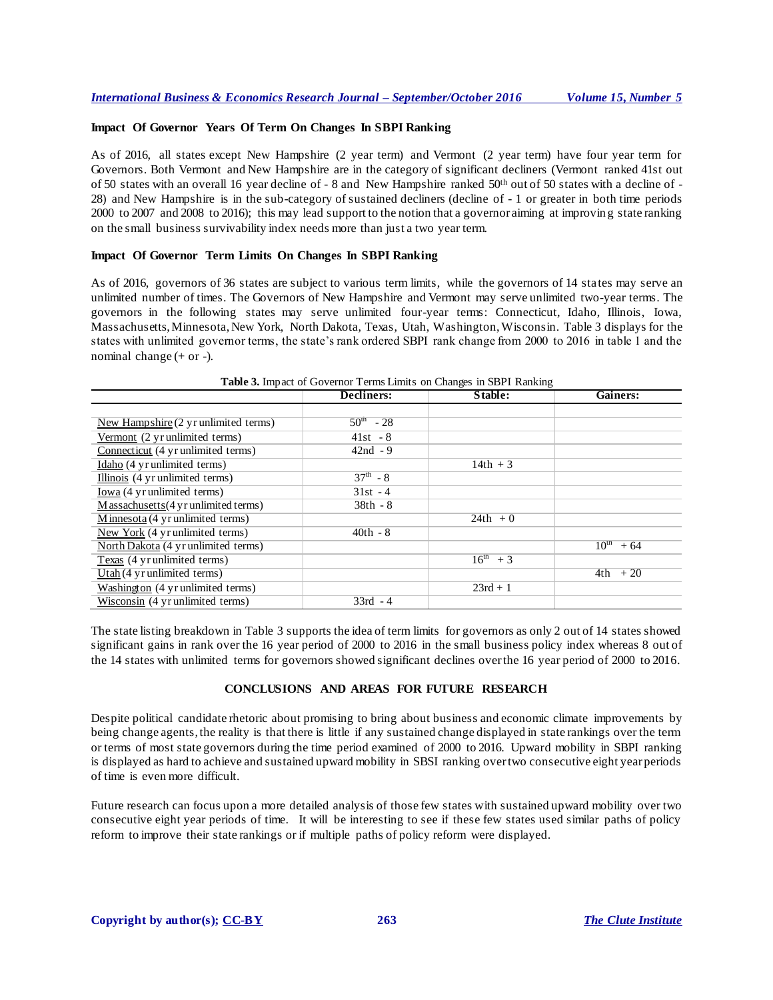#### **Impact Of Governor Years Of Term On Changes In SBPI Ranking**

As of 2016, all states except New Hampshire (2 year term) and Vermont (2 year term) have four year term for Governors. Both Vermont and New Hampshire are in the category of significant decliners (Vermont ranked 41st out of 50 states with an overall 16 year decline of - 8 and New Hampshire ranked 50th out of 50 states with a decline of - 28) and New Hampshire is in the sub-category of sustained decliners (decline of - 1 or greater in both time periods 2000 to 2007 and 2008 to 2016); this may lead support to the notion that a governor aiming at improvin g state ranking on the small business survivability index needs more than just a two year term.

#### **Impact Of Governor Term Limits On Changes In SBPI Ranking**

As of 2016, governors of 36 states are subject to various term limits, while the governors of 14 states may serve an unlimited number of times. The Governors of [New Hampshire](http://en.wikipedia.org/wiki/Governor_of_New_Hampshire) an[d Vermont](http://en.wikipedia.org/wiki/Governor_of_Vermont) may serve unlimited two-year terms. The governors in the following states may serve unlimited four-year terms: [Connecticut,](http://en.wikipedia.org/wiki/Governor_of_Connecticut) [Idaho,](http://en.wikipedia.org/wiki/Governor_of_Idaho) [Illinois,](http://en.wikipedia.org/wiki/Governor_of_Illinois) [Iowa,](http://en.wikipedia.org/wiki/Governor_of_Iowa) [Massachusetts](http://en.wikipedia.org/wiki/Governor_of_Massachusetts)[, Minnesota](http://en.wikipedia.org/wiki/Governor_of_Minnesota)[, New York,](http://en.wikipedia.org/wiki/Governor_of_New_York) [North Dakota,](http://en.wikipedia.org/wiki/Governor_of_North_Dakota) [Texas,](http://en.wikipedia.org/wiki/Governor_of_Texas) [Utah,](http://en.wikipedia.org/wiki/Governor_of_Utah) [Washington](http://en.wikipedia.org/wiki/Governor_of_Washington)[, Wisconsin](http://en.wikipedia.org/wiki/Governor_of_Wisconsin). Table 3 displays for the states with unlimited governor terms, the state's rank ordered SBPI rank change from 2000 to 2016 in table 1 and the nominal change (+ or -).

|                                                | Decliners:        | <b>Table 5.</b> Hilpact of Governor Terms Ellints on Changes in SDTT Kalikulg<br>Stable: | Gainers:              |
|------------------------------------------------|-------------------|------------------------------------------------------------------------------------------|-----------------------|
|                                                |                   |                                                                                          |                       |
| New Hampshire $(2 \text{ yr unlimited terms})$ | $50^{\rm m}$ - 28 |                                                                                          |                       |
| Vermont (2 yr unlimited terms)                 | $41st - 8$        |                                                                                          |                       |
| Connecticut (4 yr unlimited terms)             | $42nd - 9$        |                                                                                          |                       |
| Idaho (4 yr unlimited terms)                   |                   | $14th + 3$                                                                               |                       |
| Illinois (4 yr unlimited terms)                | $37^{\rm th} - 8$ |                                                                                          |                       |
| Iowa (4 yr unlimited terms)                    | $31st - 4$        |                                                                                          |                       |
| $M$ assachusetts (4 yr unlimited terms)        | $38th - 8$        |                                                                                          |                       |
| Minnesota (4 yr unlimited terms)               |                   | $24th + 0$                                                                               |                       |
| New York (4 yr unlimited terms)                | $40th - 8$        |                                                                                          |                       |
| North Dakota (4 yr unlimited terms)            |                   |                                                                                          | $10^{\text{th}} + 64$ |
| Texas (4 yr unlimited terms)                   |                   | $16^{th}$ + 3                                                                            |                       |
| $Utah(4 yr$ unlimited terms)                   |                   |                                                                                          | $4th$ + 20            |
| Washington (4 yr unlimited terms)              |                   | $23rd + 1$                                                                               |                       |
| Wisconsin (4 yr unlimited terms)               | $33rd - 4$        |                                                                                          |                       |

**Table 3.** Impact of Governor Terms Limits on Changes in SBPI Ranking

The state listing breakdown in Table 3 supports the idea of term limits for governors as only 2 out of 14 states showed significant gains in rank over the 16 year period of 2000 to 2016 in the small business policy index whereas 8 out of the 14 states with unlimited terms for governors showed significant declines over the 16 year period of 2000 to 2016.

#### **CONCLUSIONS AND AREAS FOR FUTURE RESEARCH**

Despite political candidate rhetoric about promising to bring about business and economic climate improvements by being change agents, the reality is that there is little if any sustained change displayed in state rankings over the term or terms of most state governors during the time period examined of 2000 to 2016. Upward mobility in SBPI ranking is displayed as hard to achieve and sustained upward mobility in SBSI ranking over two consecutive eight year periods of time is even more difficult.

Future research can focus upon a more detailed analysis of those few states with sustained upward mobility over two consecutive eight year periods of time. It will be interesting to see if these few states used similar paths of policy reform to improve their state rankings or if multiple paths of policy reform were displayed.